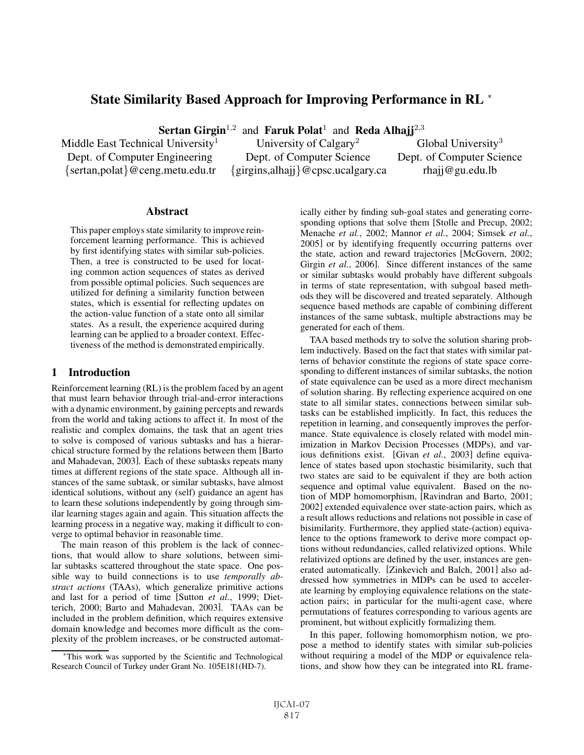# State Similarity Based Approach for Improving Performance in RL <sup>∗</sup>

**Sertan Girgin**<sup>1,2</sup> and **Faruk Polat<sup>1</sup> and <b>Reda Alhajj**<sup>2,3</sup> al University<sup>1</sup> University of Calgary<sup>2</sup> G

Middle East Technical University<sup>1</sup> University of Calgary<sup>2</sup> Global University<sup>3</sup> Dept. of Computer Engineering Dept. of Computer Science Dept. of Computer Science {sertan,polat}@ceng.metu.edu.tr {girgins,alhajj}@cpsc.ucalgary.ca rhajj@gu.edu.lb

## **Abstract**

This paper employs state similarity to improve reinforcement learning performance. This is achieved by first identifying states with similar sub-policies. Then, a tree is constructed to be used for locating common action sequences of states as derived from possible optimal policies. Such sequences are utilized for defining a similarity function between states, which is essential for reflecting updates on the action-value function of a state onto all similar states. As a result, the experience acquired during learning can be applied to a broader context. Effectiveness of the method is demonstrated empirically.

# 1 Introduction

Reinforcement learning (RL) is the problem faced by an agent that must learn behavior through trial-and-error interactions with a dynamic environment, by gaining percepts and rewards from the world and taking actions to affect it. In most of the realistic and complex domains, the task that an agent tries to solve is composed of various subtasks and has a hierarchical structure formed by the relations between them [Barto and Mahadevan, 2003]. Each of these subtasks repeats many times at different regions of the state space. Although all instances of the same subtask, or similar subtasks, have almost identical solutions, without any (self) guidance an agent has to learn these solutions independently by going through similar learning stages again and again. This situation affects the learning process in a negative way, making it difficult to converge to optimal behavior in reasonable time.

The main reason of this problem is the lack of connections, that would allow to share solutions, between similar subtasks scattered throughout the state space. One possible way to build connections is to use *temporally abstract actions* (TAAs), which generalize primitive actions and last for a period of time [Sutton *et al.*, 1999; Dietterich, 2000; Barto and Mahadevan, 2003]. TAAs can be included in the problem definition, which requires extensive domain knowledge and becomes more difficult as the complexity of the problem increases, or be constructed automatically either by finding sub-goal states and generating corresponding options that solve them [Stolle and Precup, 2002; Menache *et al.*, 2002; Mannor *et al.*, 2004; Simsek *et al.*, 2005] or by identifying frequently occurring patterns over the state, action and reward trajectories [McGovern, 2002; Girgin *et al.*, 2006]. Since different instances of the same or similar subtasks would probably have different subgoals in terms of state representation, with subgoal based methods they will be discovered and treated separately. Although sequence based methods are capable of combining different instances of the same subtask, multiple abstractions may be generated for each of them.

TAA based methods try to solve the solution sharing problem inductively. Based on the fact that states with similar patterns of behavior constitute the regions of state space corresponding to different instances of similar subtasks, the notion of state equivalence can be used as a more direct mechanism of solution sharing. By reflecting experience acquired on one state to all similar states, connections between similar subtasks can be established implicitly. In fact, this reduces the repetition in learning, and consequently improves the performance. State equivalence is closely related with model minimization in Markov Decision Processes (MDPs), and various definitions exist. [Givan *et al.*, 2003] define equivalence of states based upon stochastic bisimilarity, such that two states are said to be equivalent if they are both action sequence and optimal value equivalent. Based on the notion of MDP homomorphism, [Ravindran and Barto, 2001; 2002] extended equivalence over state-action pairs, which as a result allows reductions and relations not possible in case of bisimilarity. Furthermore, they applied state-(action) equivalence to the options framework to derive more compact options without redundancies, called relativized options. While relativized options are defined by the user, instances are generated automatically. [Zinkevich and Balch, 2001] also addressed how symmetries in MDPs can be used to accelerate learning by employing equivalence relations on the stateaction pairs; in particular for the multi-agent case, where permutations of features corresponding to various agents are prominent, but without explicitly formalizing them.

In this paper, following homomorphism notion, we propose a method to identify states with similar sub-policies without requiring a model of the MDP or equivalence relations, and show how they can be integrated into RL frame-

<sup>∗</sup>This work was supported by the Scientific and Technological Research Council of Turkey under Grant No. 105E181(HD-7).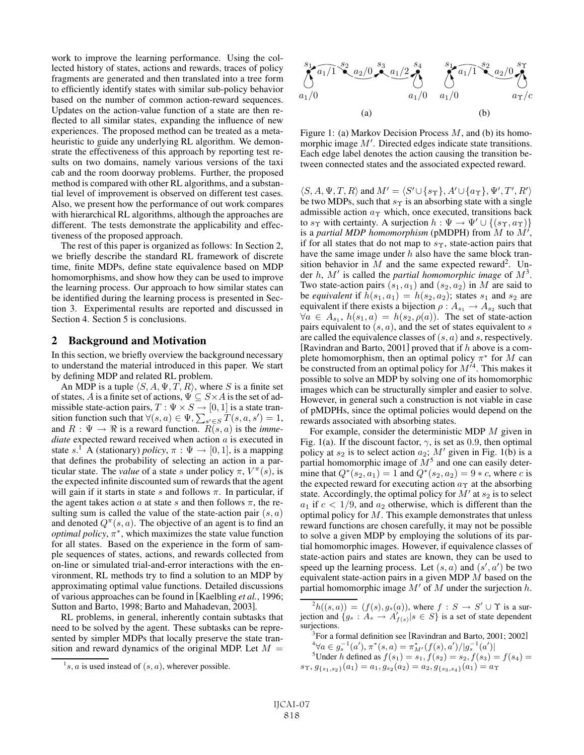work to improve the learning performance. Using the collected history of states, actions and rewards, traces of policy fragments are generated and then translated into a tree form to efficiently identify states with similar sub-policy behavior based on the number of common action-reward sequences. Updates on the action-value function of a state are then reflected to all similar states, expanding the influence of new experiences. The proposed method can be treated as a metaheuristic to guide any underlying RL algorithm. We demonstrate the effectiveness of this approach by reporting test results on two domains, namely various versions of the taxi cab and the room doorway problems. Further, the proposed method is compared with other RL algorithms, and a substantial level of improvement is observed on different test cases. Also, we present how the performance of out work compares with hierarchical RL algorithms, although the approaches are different. The tests demonstrate the applicability and effectiveness of the proposed approach.

The rest of this paper is organized as follows: In Section 2, we briefly describe the standard RL framework of discrete time, finite MDPs, define state equivalence based on MDP homomorphisms, and show how they can be used to improve the learning process. Our approach to how similar states can be identified during the learning process is presented in Section 3. Experimental results are reported and discussed in Section 4. Section 5 is conclusions.

## 2 Background and Motivation

In this section, we briefly overview the background necessary to understand the material introduced in this paper. We start by defining MDP and related RL problem.

An MDP is a tuple  $\langle S, A, \Psi, T, R \rangle$ , where S is a finite set of states, A is a finite set of actions,  $\Psi \subseteq S \times A$  is the set of admissible state-action pairs,  $T : \Psi \times S \to [0, 1]$  is a state transition function such that  $\forall (s, a) \in \Psi$ ,  $\sum_{s' \in S} T(s, a, s') = 1$ , and  $R : \Psi \to \Re$  is a reward function.  $R(s, a)$  is the *immediate* expected reward received when action a is executed in state s.<sup>1</sup> A (stationary) *policy*,  $\pi : \Psi \to [0, 1]$ , is a mapping that defines the probability of selecting an action in a particular state. The *value* of a state s under policy  $\pi$ ,  $V^{\pi}(s)$ , is the expected infinite discounted sum of rewards that the agent will gain if it starts in state s and follows  $\pi$ . In particular, if the agent takes action a at state s and then follows  $\pi$ , the resulting sum is called the value of the state-action pair  $(s, a)$ and denoted  $Q^{\pi}(s, a)$ . The objective of an agent is to find an *optimal policy*,  $\pi^*$ , which maximizes the state value function for all states. Based on the experience in the form of sample sequences of states, actions, and rewards collected from on-line or simulated trial-and-error interactions with the environment, RL methods try to find a solution to an MDP by approximating optimal value functions. Detailed discussions of various approaches can be found in [Kaelbling *et al.*, 1996; Sutton and Barto, 1998; Barto and Mahadevan, 2003].

RL problems, in general, inherently contain subtasks that need to be solved by the agent. These subtasks can be represented by simpler MDPs that locally preserve the state transition and reward dynamics of the original MDP. Let  $M =$ 



Figure 1: (a) Markov Decision Process  $M$ , and (b) its homomorphic image  $M'$ . Directed edges indicate state transitions. Each edge label denotes the action causing the transition between connected states and the associated expected reward.

 $\langle S, A, \Psi, T, R \rangle$  and  $M' = \langle S' \cup \{s_\Upsilon\}, A' \cup \{a_\Upsilon\}, \Psi', T', R' \rangle$ be two MDPs, such that  $s_{\Upsilon}$  is an absorbing state with a single admissible action  $a<sub>T</sub>$  which, once executed, transitions back to s<sub>Y</sub> with certainty. A surjection  $h : \Psi \to \Psi' \cup \{(s_{\Upsilon}, a_{\Upsilon})\}$ is a *partial MDP* homomorphism (pMDPH) from  $\tilde{M}$  to  $\tilde{M}'$ , if for all states that do not map to  $s_{\Upsilon}$ , state-action pairs that have the same image under  $h$  also have the same block transition behavior in M and the same expected reward<sup>2</sup>. Under  $h$ ,  $M'$  is called the *partial homomorphic image* of  $M^3$ . Two state-action pairs  $(s_1, a_1)$  and  $(s_2, a_2)$  in M are said to be *equivalent* if  $h(s_1, a_1) = h(s_2, a_2)$ ; states  $s_1$  and  $s_2$  are equivalent if there exists a bijection  $\rho : A_{s_1} \to A_{s_2}$  such that  $\forall a \in A_{s_1}, h(s_1, a) = h(s_2, \rho(a))$ . The set of state-action pairs equivalent to  $(s, a)$ , and the set of states equivalent to s are called the equivalence classes of  $(s, a)$  and s, respectively. [Ravindran and Barto, 2001] proved that if  $h$  above is a complete homomorphism, then an optimal policy  $\pi^*$  for M can be constructed from an optimal policy for  $M^{14}$ . This makes it possible to solve an MDP by solving one of its homomorphic images which can be structurally simpler and easier to solve. However, in general such a construction is not viable in case of pMDPHs, since the optimal policies would depend on the rewards associated with absorbing states.

For example, consider the deterministic MDP M given in Fig. 1(a). If the discount factor,  $\gamma$ , is set as 0.9, then optimal policy at  $s_2$  is to select action  $a_2$ ; M' given in Fig. 1(b) is a partial homomorphic image of  $M<sup>5</sup>$  and one can easily determine that  $Q^*(s_2, a_1) = 1$  and  $Q^*(s_2, a_2) = 9 * c$ , where c is the expected reward for executing action  $a<sub>T</sub>$  at the absorbing state. Accordingly, the optimal policy for  $M'$  at  $s_2$  is to select  $a_1$  if  $c < 1/9$ , and  $a_2$  otherwise, which is different than the optimal policy for  $M$ . This example demonstrates that unless reward functions are chosen carefully, it may not be possible to solve a given MDP by employing the solutions of its partial homomorphic images. However, if equivalence classes of state-action pairs and states are known, they can be used to speed up the learning process. Let  $(s, a)$  and  $(s', a')$  be two equivalent state-action pairs in a given MDP  $M$  based on the partial homomorphic image  $M'$  of M under the surjection h.

 ${}^{2}h((s, a)) = (f(s), g_s(a)),$  where  $f : S \to S' \cup \Upsilon$  is a sur-<br>ion and  $\{g_a : A_a \to A'_{a'} \cup s \in S\}$  is a set of state dependent jection and  $\{g_s : A_s \to A'_{f(s)} | s \in S\}$  is a set of state dependent surjections surjections.

<sup>3</sup> For a formal definition see [Ravindran and Barto, 2001; 2002]

 ${}^{4}\forall a \in g_s^{-1}(a'), \pi^*(s, a) = \pi^*_{M'}(f(s), a')/|g_s^{-1}(a')|$ <br>  ${}^{5}\text{Under } b \text{ defined as } f(s_1) = s, \ f(s_2) = s, \ f(s_3) = s$ 

<sup>5</sup>Under *h* defined as  $f(s_1) = s_1$ ,  $f(s_2) = s_2$ ,  $f(s_3) = f(s_4) =$ <br>  $g_1$ ,  $g_2$  ( $g_3$ ) =  $g_3$ ,  $g_4$ ,  $g_5$  ( $g_1$ ) =  $g_2$  $s_{\Upsilon}, g_{\{s_1,s_2\}}(a_1) = a_1, g_{s_2}(a_2) = a_2, g_{\{s_3,s_4\}}(a_1) = a_{\Upsilon}$ 

 $\frac{1}{s}$ , *a* is used instead of  $(s, a)$ , wherever possible.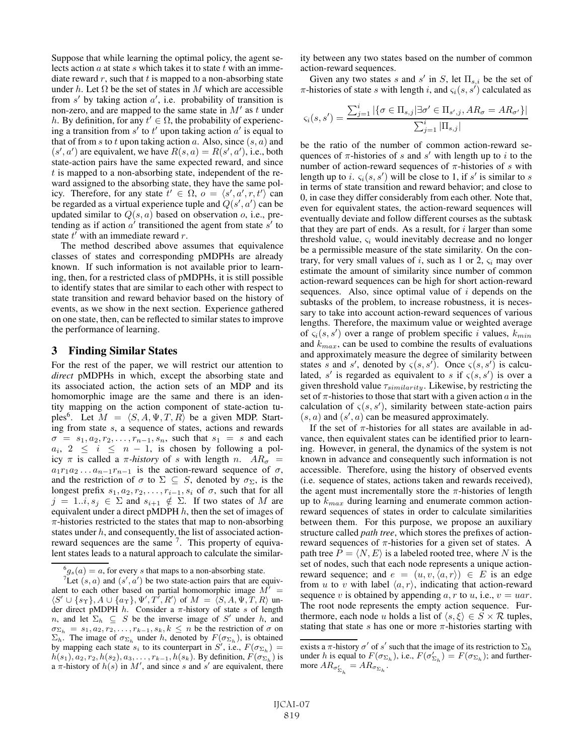Suppose that while learning the optimal policy, the agent selects action  $a$  at state  $s$  which takes it to state  $t$  with an immediate reward  $r$ , such that  $t$  is mapped to a non-absorbing state under h. Let  $\Omega$  be the set of states in M which are accessible from  $s'$  by taking action  $a'$ , i.e. probability of transition is non-zero, and are mapped to the same state in  $M'$  as t under h. By definition, for any  $t' \in \Omega$ , the probability of experiencing a transition from  $s'$  to  $t'$  upon taking action  $a'$  is equal to that of from s to t upon taking action a. Also, since  $(s, a)$  and  $(s', a')$  are equivalent, we have  $R(s, a) = R(s', a')$ , i.e., both state-action pairs have the same expected reward, and since  $t$  is mapped to a non-absorbing state, independent of the reward assigned to the absorbing state, they have the same policy. Therefore, for any state  $t' \in \Omega$ ,  $o = \langle s', a', r, t' \rangle$  can be regarded as a virtual experience tuple and  $Q(s', a')$  can be updated similar to  $Q(s, a)$  based on observation o, i.e., pretending as if action  $a'$  transitioned the agent from state  $s'$  to state  $t^{\prime}$  with an immediate reward r.

The method described above assumes that equivalence classes of states and corresponding pMDPHs are already known. If such information is not available prior to learning, then, for a restricted class of pMDPHs, it is still possible to identify states that are similar to each other with respect to state transition and reward behavior based on the history of events, as we show in the next section. Experience gathered on one state, then, can be reflected to similar states to improve the performance of learning.

# 3 Finding Similar States

For the rest of the paper, we will restrict our attention to *direct* pMDPHs in which, except the absorbing state and its associated action, the action sets of an MDP and its homomorphic image are the same and there is an identity mapping on the action component of state-action tuples<sup>6</sup>. Let  $M = \langle S, A, \Psi, T, R \rangle$  be a given MDP. Starting from state s, a sequence of states, actions and rewards  $\sigma = s_1, a_2, r_2, \ldots, r_{n-1}, s_n$ , such that  $s_1 = s$  and each  $a_i, 2 \le i \le n - 1$ , is chosen by following a policy  $\pi$  is called a  $\pi$ -history of s with length n.  $AR_{\sigma}$  =  $a_1r_1a_2 \ldots a_{n-1}r_{n-1}$  is the action-reward sequence of  $\sigma$ , and the restriction of  $\sigma$  to  $\Sigma \subseteq S$ , denoted by  $\sigma_{\Sigma}$ , is the longest prefix  $s_1, a_2, r_2, \ldots, r_{i-1}, s_i$  of  $\sigma$ , such that for all  $j = 1..i, s_j \in \Sigma$  and  $s_{i+1} \notin \Sigma$ . If two states of M are equivalent under a direct pMDPH  $h$ , then the set of images of  $\pi$ -histories restricted to the states that map to non-absorbing states under h, and consequently, the list of associated actionreward sequences are the same  $<sup>7</sup>$ . This property of equiva-</sup> lent states leads to a natural approach to calculate the similarity between any two states based on the number of common action-reward sequences.

Given any two states s and s' in S, let  $\Pi_{s,i}$  be the set of  $\pi$ -histories of state s with length i, and  $\varsigma_i(s, s')$  calculated as

$$
\varsigma_i(s, s') = \frac{\sum_{j=1}^i |\{\sigma \in \Pi_{s,j} | \exists \sigma' \in \Pi_{s',j}, AR_{\sigma} = AR_{\sigma'}\}|}{\sum_{j=1}^i |\Pi_{s,j}|}
$$

be the ratio of the number of common action-reward sequences of  $\pi$ -histories of s and s' with length up to i to the number of action-reward sequences of  $\pi$ -histories of s with length up to i.  $\varsigma_i(s, s')$  will be close to 1, if s' is similar to s in terms of state transition and reward behavior; and close to 0, in case they differ considerably from each other. Note that, even for equivalent states, the action-reward sequences will eventually deviate and follow different courses as the subtask that they are part of ends. As a result, for  $i$  larger than some threshold value,  $\varsigma_i$  would inevitably decrease and no longer be a permissible measure of the state similarity. On the contrary, for very small values of i, such as 1 or 2,  $\varsigma_i$  may over estimate the amount of similarity since number of common action-reward sequences can be high for short action-reward sequences. Also, since optimal value of  $i$  depends on the subtasks of the problem, to increase robustness, it is necessary to take into account action-reward sequences of various lengths. Therefore, the maximum value or weighted average of  $\zeta_i(s, s')$  over a range of problem specific i values,  $k_{min}$ and  $k_{max}$ , can be used to combine the results of evaluations and approximately measure the degree of similarity between states s and s', denoted by  $\varsigma(s, s')$ . Once  $\varsigma(s, s')$  is calculated, s' is regarded as equivalent to s if  $\varsigma(s, s')$  is over a given threshold value  $\tau_{similarity}$ . Likewise, by restricting the set of  $\pi$ -histories to those that start with a given action  $\alpha$  in the calculation of  $\varsigma(s, s')$ , similarity between state-action pairs  $(s, a)$  and  $(s', a)$  can be measured approximately.

If the set of  $\pi$ -histories for all states are available in advance, then equivalent states can be identified prior to learning. However, in general, the dynamics of the system is not known in advance and consequently such information is not accessible. Therefore, using the history of observed events (i.e. sequence of states, actions taken and rewards received), the agent must incrementally store the  $\pi$ -histories of length up to  $k_{max}$  during learning and enumerate common actionreward sequences of states in order to calculate similarities between them. For this purpose, we propose an auxiliary structure called *path tree*, which stores the prefixes of actionreward sequences of  $\pi$ -histories for a given set of states. A path tree  $P = \langle N, E \rangle$  is a labeled rooted tree, where N is the set of nodes, such that each node represents a unique actionreward sequence; and  $e = (u, v, \langle a, r \rangle) \in E$  is an edge from u to v with label  $\langle a, r \rangle$ , indicating that action-reward sequence v is obtained by appending  $a, r$  to  $u$ , i.e.,  $v = u a r$ . The root node represents the empty action sequence. Furthermore, each node u holds a list of  $\langle s, \xi \rangle \in S \times \mathcal{R}$  tuples, stating that state  $s$  has one or more  $\pi$ -histories starting with

 $\frac{6}{7}g_s(a) = a$ , for every s that maps to a non-absorbing state.<br> $\frac{7}{7}$  et (e, a) and (s' a') be two state-action pairs that are e

Let  $(s, a)$  and  $(s', a')$  be two state-action pairs that are equiv-<br>t to each other based on partial homomorphic image  $M'$ alent to each other based on partial homomorphic image  $M' =$  $\langle S' \cup \{s_{\Upsilon}\}, A \cup \{a_{\Upsilon}\}, \Psi', T', R' \rangle$  of  $M = \langle S, A, \Psi, T, R \rangle$  under direct pMDPH *b*. Consider a  $\pi$ -history of state s of length der direct pMDPH  $h$ . Consider a  $\pi$ -history of state s of length n, and let  $\Sigma_h \subseteq S$  be the inverse image of S' under h, and  $\sigma_{\Sigma_h} = s_1, a_2, r_2, \dots, r_{k-1}, s_k, k \leq n$  be the restriction of  $\sigma$  on  $\Sigma_k$ .<br> $\Sigma_k$ . The image of  $\sigma_{\Sigma}$  under h, denoted by  $F(\sigma_{\Sigma})$  is obtained  $\Sigma_h$ . The image of  $\sigma_{\Sigma_h}$  under h, denoted by  $F(\sigma_{\Sigma_h})$ , is obtained<br>by manning each state s<sub>i</sub> to its counternart in  $S'$  i.e.  $F(\sigma_{\Sigma_h}) =$ by mapping each state  $s_i$  to its counterpart in  $S'$ , i.e.,  $F(\sigma_{\Sigma_h}) =$ <br> $h(s_1)$ ,  $g_2$ ,  $r_b$ ,  $h(s_2)$ ,  $R_v$ ,  $h(s_3)$ ,  $R_v$ ,  $h(s_4)$ ,  $h(s_5)$ ,  $h(s_6)$ ,  $h(s_7)$ ,  $h(s_8)$  $h(s_1), a_2, r_2, h(s_2), a_3, \ldots, r_{k-1}, h(s_k)$ . By definition,  $F(\sigma_{\Sigma_h})$  is a  $\pi$ -history of  $h(s)$  in  $M'$ , and since s and s' are equivalent, there

exists a  $\pi$ -history  $\sigma'$  of s' such that the image of its restriction to  $\Sigma_h$ under h is equal to  $F(\sigma_{\Sigma_h})$ , i.e.,  $F(\sigma_{\Sigma_h}) = F(\sigma_{\Sigma_h})$ ; and furthermore  $AR_{\sigma_{\Sigma_h}'} = AR_{\sigma_{\Sigma_h}}$ .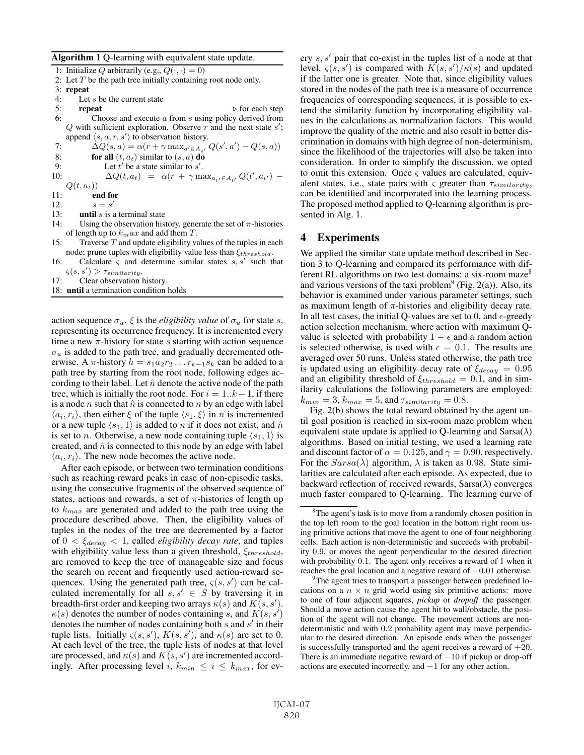#### Algorithm 1 Q-learning with equivalent state update.

1: Initialize  $Q$  arbitrarily (e.g.,  $Q(\cdot,\cdot)=0)$ 2: Let  $T$  be the path tree initially containing root node only. 3: **repeat**<br>4: Let 4: Let s be the current state<br>5: **repeat** 5: **repeat**  $\triangleright$  for each step  $\triangleright$  for each step  $\cdot$   $\cdot$  Choose and execute a from susing policy derived from 6: Choose and execute a from s using policy derived from  $\Omega$  with sufficient exploration. Observe r and the next state s' Q with sufficient exploration. Observe r and the next state s';<br>append  $\langle s, a, r, s' \rangle$  to observation history append  $\langle s, a, r, s' \rangle$  to observation history.<br>  $\Delta O(s, a) = \alpha (r + \gamma \max_{s \in A} f, a)$ 7:  $\Delta Q(s, a) = \alpha (r + \gamma \max_{a' \in A_{s'}} Q(s', a') - Q(s, a))$ 8: **for all**  $(t, a_t)$  similar to  $(s, a)$  **do**<br>9: Let t' be a state similar to s'. 9: Let t' be a state similar to s'.<br>  $0 \cdot \Delta O(t, a_t) = \alpha (r + \gamma m)$ 10:  $\Delta Q(t, a_t) = \alpha (r + \gamma \max_{a_{t'} \in A_{t'}} Q(t', a_{t'}) Q(t, a_t)$ 11: **end for**  $s = s'$ 12:  $s = s'$ <br>13: **until** s is : 13: **until** s is a terminal state  $14$ : **Ising the observation his** 14: Using the observation history, generate the set of  $\pi$ -histories of length up to  $k_max$  and add them T. 15: Traverse  $T$  and update eligibility values of the tuples in each node; prune tuples with eligibility value less than  $\xi_{threshold}$ .

16: Calculate  $\varsigma$  and determine similar states  $s, s'$  such that  $\varsigma(s,s') > \tau_{similarity}.$ <br>Clear observation

- 17: Clear observation history.
- 18: until a termination condition holds

action sequence  $\sigma_u$ .  $\xi$  is the *eligibility value* of  $\sigma_u$  for state s, representing its occurrence frequency. It is incremented every time a new  $\pi$ -history for state s starting with action sequence  $\sigma_u$  is added to the path tree, and gradually decremented otherwise. A  $\pi$ -history  $h = s_1 a_2 r_2 \dots r_{k-1} s_k$  can be added to a path tree by starting from the root node, following edges according to their label. Let  $\hat{n}$  denote the active node of the path tree, which is initially the root node. For  $i = 1..k-1$ , if there is a node *n* such that  $\hat{n}$  is connected to *n* by an edge with label  $\langle a_i, r_i \rangle$ , then either  $\xi$  of the tuple  $\langle s_1, \xi \rangle$  in n is incremented or a new tuple  $\langle s_1, 1 \rangle$  is added to n if it does not exist, and  $\hat{n}$ is set to *n*. Otherwise, a new node containing tuple  $\langle s_1, 1 \rangle$  is created, and  $\hat{n}$  is connected to this node by an edge with label  $\langle a_i, r_i \rangle$ . The new node becomes the active node.

After each episode, or between two termination conditions such as reaching reward peaks in case of non-episodic tasks, using the consecutive fragments of the observed sequence of states, actions and rewards, a set of  $\pi$ -histories of length up to  $k_{max}$  are generated and added to the path tree using the procedure described above. Then, the eligibility values of tuples in the nodes of the tree are decremented by a factor of  $0 < \xi_{decay} < 1$ , called *eligibility decay rate*, and tuples with eligibility value less than a given threshold,  $\xi_{threshold}$ , are removed to keep the tree of manageable size and focus the search on recent and frequently used action-reward sequences. Using the generated path tree,  $\varsigma(s, s')$  can be calculated incrementally for all  $s, s' \in S$  by traversing it in breadth-first order and keeping two arrays  $\kappa(s)$  and  $K(s, s')$ .  $\kappa(s)$  denotes the number of nodes containing s, and  $K(s, s')$ denotes the number of nodes containing both  $s$  and  $s'$  in their tuple lists. Initially  $\varsigma(s, s')$ ,  $K(s, s')$ , and  $\kappa(s)$  are set to 0. At each level of the tree, the tuple lists of nodes at that level are processed, and  $\kappa(s)$  and  $K(s, s')$  are incremented accordingly. After processing level i,  $k_{min} \le i \le k_{max}$ , for every  $s, s'$  pair that co-exist in the tuples list of a node at that level,  $\varsigma(s, s')$  is compared with  $K(s, s')/\kappa(s)$  and updated if the latter one is greater. Note that, since eligibility values stored in the nodes of the path tree is a measure of occurrence frequencies of corresponding sequences, it is possible to extend the similarity function by incorporating eligibility values in the calculations as normalization factors. This would improve the quality of the metric and also result in better discrimination in domains with high degree of non-determinism, since the likelihood of the trajectories will also be taken into consideration. In order to simplify the discussion, we opted to omit this extension. Once  $\varsigma$  values are calculated, equivalent states, i.e., state pairs with  $\varsigma$  greater than  $\tau_{similarity}$ , can be identified and incorporated into the learning process. The proposed method applied to Q-learning algorithm is presented in Alg. 1.

# 4 Experiments

We applied the similar state update method described in Section 3 to Q-learning and compared its performance with different RL algorithms on two test domains: a six-room maze<sup>8</sup> and various versions of the taxi problem<sup>9</sup> (Fig. 2(a)). Also, its behavior is examined under various parameter settings, such as maximum length of  $\pi$ -histories and eligibility decay rate. In all test cases, the initial Q-values are set to 0, and  $\epsilon$ -greedy action selection mechanism, where action with maximum Qvalue is selected with probability  $1 - \epsilon$  and a random action is selected otherwise, is used with  $\epsilon = 0.1$ . The results are averaged over 50 runs. Unless stated otherwise, the path tree is updated using an eligibility decay rate of  $\xi_{decay} = 0.95$ and an eligibility threshold of  $\xi_{threshold} = 0.1$ , and in similarity calculations the following parameters are employed:  $k_{min} = 3, k_{max} = 5,$  and  $\tau_{similarity} = 0.8$ .

Fig. 2(b) shows the total reward obtained by the agent until goal position is reached in six-room maze problem when equivalent state update is applied to Q-learning and  $Sarsa(\lambda)$ algorithms. Based on initial testing, we used a learning rate and discount factor of  $\alpha = 0.125$ , and  $\gamma = 0.90$ , respectively. For the  $Sarsa(\lambda)$  algorithm,  $\lambda$  is taken as 0.98. State similarities are calculated after each episode. As expected, due to backward reflection of received rewards,  $Sarsa(\lambda)$  converges much faster compared to Q-learning. The learning curve of

<sup>&</sup>lt;sup>8</sup>The agent's task is to move from a randomly chosen position in the top left room to the goal location in the bottom right room using primitive actions that move the agent to one of four neighboring cells. Each action is non-deterministic and succeeds with probability <sup>0</sup>.9, or moves the agent perpendicular to the desired direction with probability <sup>0</sup>.1. The agent only receives a reward of 1 when it reaches the goal location and a negative reward of  $-0.01$  otherwise.

<sup>&</sup>lt;sup>9</sup>The agent tries to transport a passenger between predefined locations on a  $n \times n$  grid world using six primitive actions: move to one of four adjacent squares, *pickup* or *dropoff* the passenger. Should a move action cause the agent hit to wall/obstacle, the position of the agent will not change. The movement actions are nondeterministic and with <sup>0</sup>.<sup>2</sup> probability agent may move perpendicular to the desired direction. An episode ends when the passenger is successfully transported and the agent receives a reward of  $+20$ . There is an immediate negative reward of  $-10$  if pickup or drop-off actions are executed incorrectly, and −1 for any other action.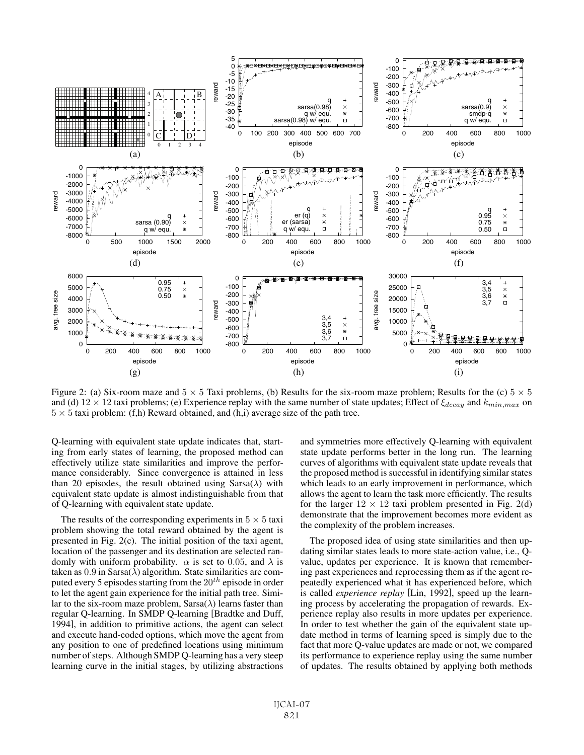

Figure 2: (a) Six-room maze and  $5 \times 5$  Taxi problems, (b) Results for the six-room maze problem; Results for the (c)  $5 \times 5$ and (d)  $12 \times 12$  taxi problems; (e) Experience replay with the same number of state updates; Effect of  $\xi_{decay}$  and  $k_{min,max}$  on  $5 \times 5$  taxi problem: (f,h) Reward obtained, and (h,i) average size of the path tree.

Q-learning with equivalent state update indicates that, starting from early states of learning, the proposed method can effectively utilize state similarities and improve the performance considerably. Since convergence is attained in less than 20 episodes, the result obtained using  $Sarsa(\lambda)$  with equivalent state update is almost indistinguishable from that of Q-learning with equivalent state update.

The results of the corresponding experiments in  $5 \times 5$  taxi problem showing the total reward obtained by the agent is presented in Fig. 2(c). The initial position of the taxi agent, location of the passenger and its destination are selected randomly with uniform probability.  $\alpha$  is set to 0.05, and  $\lambda$  is taken as  $0.9$  in Sarsa $(\lambda)$  algorithm. State similarities are computed every 5 episodes starting from the  $20^{th}$  episode in order to let the agent gain experience for the initial path tree. Similar to the six-room maze problem,  $Sarsa(\lambda)$  learns faster than regular Q-learning. In SMDP Q-learning [Bradtke and Duff, 1994], in addition to primitive actions, the agent can select and execute hand-coded options, which move the agent from any position to one of predefined locations using minimum number of steps. Although SMDP Q-learning has a very steep learning curve in the initial stages, by utilizing abstractions and symmetries more effectively Q-learning with equivalent state update performs better in the long run. The learning curves of algorithms with equivalent state update reveals that the proposed method is successful in identifying similar states which leads to an early improvement in performance, which allows the agent to learn the task more efficiently. The results for the larger  $12 \times 12$  taxi problem presented in Fig. 2(d) demonstrate that the improvement becomes more evident as the complexity of the problem increases.

The proposed idea of using state similarities and then updating similar states leads to more state-action value, i.e., Qvalue, updates per experience. It is known that remembering past experiences and reprocessing them as if the agent repeatedly experienced what it has experienced before, which is called *experience replay* [Lin, 1992], speed up the learning process by accelerating the propagation of rewards. Experience replay also results in more updates per experience. In order to test whether the gain of the equivalent state update method in terms of learning speed is simply due to the fact that more Q-value updates are made or not, we compared its performance to experience replay using the same number of updates. The results obtained by applying both methods